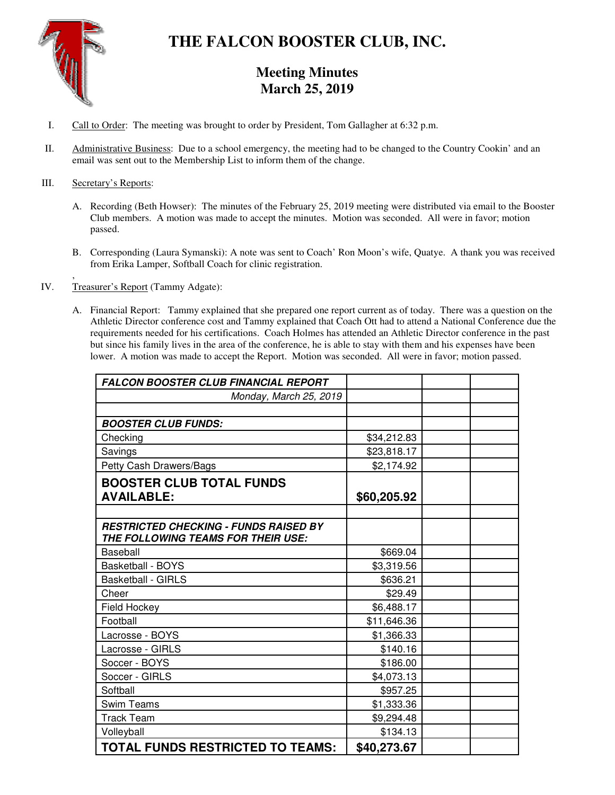

# **THE FALCON BOOSTER CLUB, INC.**

## **Meeting Minutes March 25, 2019**

- I. Call to Order: The meeting was brought to order by President, Tom Gallagher at 6:32 p.m.
- II. Administrative Business: Due to a school emergency, the meeting had to be changed to the Country Cookin' and an email was sent out to the Membership List to inform them of the change.

### III. Secretary's Reports:

- A. Recording (Beth Howser): The minutes of the February 25, 2019 meeting were distributed via email to the Booster Club members. A motion was made to accept the minutes. Motion was seconded. All were in favor; motion passed.
- B. Corresponding (Laura Symanski): A note was sent to Coach' Ron Moon's wife, Quatye. A thank you was received from Erika Lamper, Softball Coach for clinic registration.
- , IV. Treasurer's Report (Tammy Adgate):
	- A. Financial Report: Tammy explained that she prepared one report current as of today. There was a question on the Athletic Director conference cost and Tammy explained that Coach Ott had to attend a National Conference due the requirements needed for his certifications. Coach Holmes has attended an Athletic Director conference in the past but since his family lives in the area of the conference, he is able to stay with them and his expenses have been lower. A motion was made to accept the Report. Motion was seconded. All were in favor; motion passed.

| <b>FALCON BOOSTER CLUB FINANCIAL REPORT</b>  |             |  |
|----------------------------------------------|-------------|--|
| Monday, March 25, 2019                       |             |  |
|                                              |             |  |
| <b>BOOSTER CLUB FUNDS:</b>                   |             |  |
| Checking                                     | \$34,212.83 |  |
| Savings                                      | \$23,818.17 |  |
| Petty Cash Drawers/Bags                      | \$2,174.92  |  |
| <b>BOOSTER CLUB TOTAL FUNDS</b>              |             |  |
| <b>AVAILABLE:</b>                            | \$60,205.92 |  |
|                                              |             |  |
| <b>RESTRICTED CHECKING - FUNDS RAISED BY</b> |             |  |
| THE FOLLOWING TEAMS FOR THEIR USE:           |             |  |
| Baseball                                     | \$669.04    |  |
| <b>Basketball - BOYS</b>                     | \$3,319.56  |  |
| <b>Basketball - GIRLS</b>                    | \$636.21    |  |
| Cheer                                        | \$29.49     |  |
| Field Hockey                                 | \$6,488.17  |  |
| Football                                     | \$11,646.36 |  |
| Lacrosse - BOYS                              | \$1,366.33  |  |
| Lacrosse - GIRLS                             | \$140.16    |  |
| Soccer - BOYS                                | \$186.00    |  |
| Soccer - GIRLS                               | \$4,073.13  |  |
| Softball                                     | \$957.25    |  |
| <b>Swim Teams</b>                            | \$1,333.36  |  |
| <b>Track Team</b>                            | \$9,294.48  |  |
| Volleyball                                   | \$134.13    |  |
| <b>TOTAL FUNDS RESTRICTED TO TEAMS:</b>      | \$40,273.67 |  |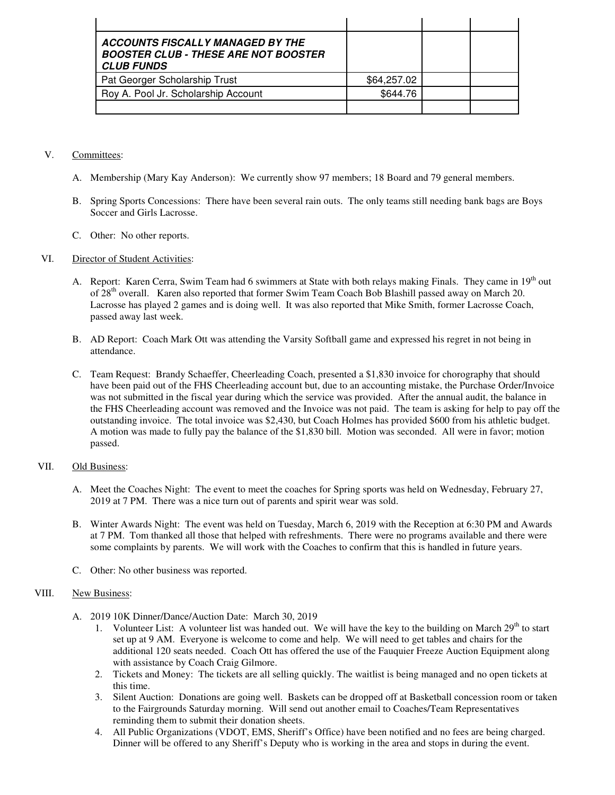| <b>ACCOUNTS FISCALLY MANAGED BY THE</b><br><b>BOOSTER CLUB - THESE ARE NOT BOOSTER</b><br><b>CLUB FUNDS</b> |             |  |
|-------------------------------------------------------------------------------------------------------------|-------------|--|
| Pat Georger Scholarship Trust                                                                               | \$64,257.02 |  |
| Roy A. Pool Jr. Scholarship Account                                                                         | \$644.76    |  |
|                                                                                                             |             |  |

#### V. Committees:

- A. Membership (Mary Kay Anderson): We currently show 97 members; 18 Board and 79 general members.
- B. Spring Sports Concessions: There have been several rain outs. The only teams still needing bank bags are Boys Soccer and Girls Lacrosse.
- C. Other: No other reports.

#### VI. Director of Student Activities:

- A. Report: Karen Cerra, Swim Team had 6 swimmers at State with both relays making Finals. They came in 19<sup>th</sup> out of 28<sup>th</sup> overall. Karen also reported that former Swim Team Coach Bob Blashill passed away on March 20. Lacrosse has played 2 games and is doing well. It was also reported that Mike Smith, former Lacrosse Coach, passed away last week.
- B. AD Report: Coach Mark Ott was attending the Varsity Softball game and expressed his regret in not being in attendance.
- C. Team Request: Brandy Schaeffer, Cheerleading Coach, presented a \$1,830 invoice for chorography that should have been paid out of the FHS Cheerleading account but, due to an accounting mistake, the Purchase Order/Invoice was not submitted in the fiscal year during which the service was provided. After the annual audit, the balance in the FHS Cheerleading account was removed and the Invoice was not paid. The team is asking for help to pay off the outstanding invoice. The total invoice was \$2,430, but Coach Holmes has provided \$600 from his athletic budget. A motion was made to fully pay the balance of the \$1,830 bill. Motion was seconded. All were in favor; motion passed.

#### VII. Old Business:

- A. Meet the Coaches Night: The event to meet the coaches for Spring sports was held on Wednesday, February 27, 2019 at 7 PM. There was a nice turn out of parents and spirit wear was sold.
- B. Winter Awards Night: The event was held on Tuesday, March 6, 2019 with the Reception at 6:30 PM and Awards at 7 PM. Tom thanked all those that helped with refreshments. There were no programs available and there were some complaints by parents. We will work with the Coaches to confirm that this is handled in future years.
- C. Other: No other business was reported.

#### VIII. New Business:

- A. 2019 10K Dinner/Dance/Auction Date: March 30, 2019
	- 1. Volunteer List: A volunteer list was handed out. We will have the key to the building on March  $29<sup>th</sup>$  to start set up at 9 AM. Everyone is welcome to come and help. We will need to get tables and chairs for the additional 120 seats needed. Coach Ott has offered the use of the Fauquier Freeze Auction Equipment along with assistance by Coach Craig Gilmore.
	- 2. Tickets and Money: The tickets are all selling quickly. The waitlist is being managed and no open tickets at this time.
	- 3. Silent Auction: Donations are going well. Baskets can be dropped off at Basketball concession room or taken to the Fairgrounds Saturday morning. Will send out another email to Coaches/Team Representatives reminding them to submit their donation sheets.
	- 4. All Public Organizations (VDOT, EMS, Sheriff's Office) have been notified and no fees are being charged. Dinner will be offered to any Sheriff's Deputy who is working in the area and stops in during the event.